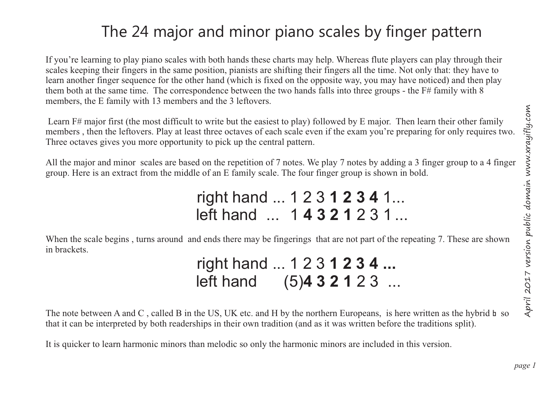## The 24 major and minor piano scales by finger pattern

If you're learning to play piano scales with both hands these charts may help. Whereas flute players can play through their scales keeping their fingers in the same position, pianists are shifting their fingers all the time. Not only that: they have to learn another finger sequence for the other hand (which is fixed on the opposite way, you may have noticed) and then play them both at the same time. The correspondence between the two hands falls into three groups - the  $F#$  family with 8 members, the E family with 13 members and the 3 leftovers.

 Learn F# major first (the most difficult to write but the easiest to play) followed by E major. Then learn their other family members , then the leftovers. Play at least three octaves of each scale even if the exam you're preparing for only requires two. Three octaves gives you more opportunity to pick up the central pattern.

All the major and minor scales are based on the repetition of 7 notes. We play 7 notes by adding a 3 finger group to a 4 finger group. Here is an extract from the middle of an E family scale. The four finger group is shown in bold.

> right hand ... 1 2 3 **1 2 3 4** 1... left hand ... 1 **4 3 2 1** 2 3 1 ...

When the scale begins, turns around and ends there may be fingerings that are not part of the repeating 7. These are shown in brackets.

 right hand ... 1 2 3 **1 2 3 4 ...** left hand (5)**4 3 2 1** 2 3 ...

The note between A and C, called B in the US, UK etc. and H by the northern Europeans, is here written as the hybrid h so that it can be interpreted by both readerships in their own tradition (and as it was written before the traditions split).

It is quicker to learn harmonic minors than melodic so only the harmonic minors are included in this version.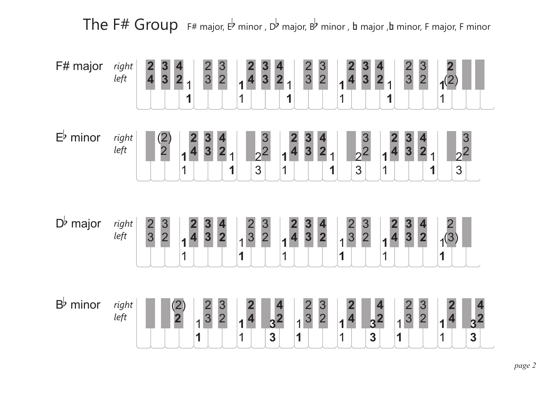The F# Group F# major, E<sup>b</sup> minor, D<sup>b</sup> major, B<sup>b</sup> minor, a major, b minor, F major, F minor

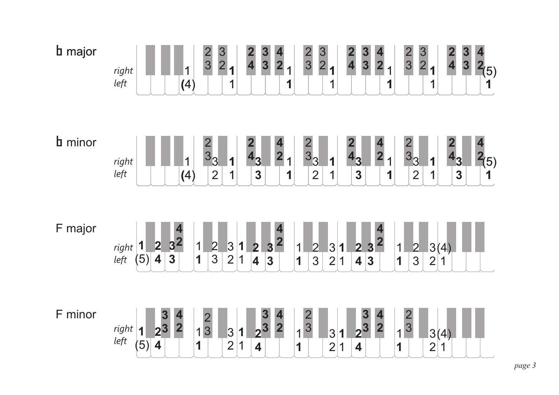| <b>b</b> major | $\frac{3}{2}$<br>$\frac{3}{2}$<br>$\frac{3}{2}$<br>$\frac{2}{3}$<br>$\frac{2}{3}$<br>$\frac{2}{4}$<br>$\begin{array}{c} 3 \\ 3 \end{array}$<br>$\frac{2}{4}$<br>$\frac{3}{3}$<br>4<br>2<br>$rac{2}{3}$<br>$\overline{\mathbf{4}}$<br>$\overline{\mathbf{3}}$<br>$\overline{2}$<br>$\frac{2}{(5)}$<br>1<br>1<br>right<br>left<br>(4)<br>1<br>1<br>1<br>1<br>$\mathbf 1$<br>1                                                                                                                                                                                                                                 |
|----------------|-------------------------------------------------------------------------------------------------------------------------------------------------------------------------------------------------------------------------------------------------------------------------------------------------------------------------------------------------------------------------------------------------------------------------------------------------------------------------------------------------------------------------------------------------------------------------------------------------------------|
| <b>b</b> minor | $\begin{array}{c}\n2 \\ 3 \\ 3\n\end{array}$<br>4<br>2<br>4<br>$\overline{3}_3$<br>4 <sub>3</sub><br>33<br>4 <sub>3</sub><br>4 <sub>3</sub><br>$\overline{2}$<br>$^{2}(5)$<br>$\vert$ 1<br>$\overline{\mathbf{1}}$<br>1<br>$\overline{\mathbf{1}}$<br>right<br>1<br>$\overline{2}$<br>$\overline{\mathbf{3}}$<br>left<br>$\overline{\mathbf{3}}$<br>$\overline{2}$<br>$\overline{\mathbf{3}}$<br>$\overline{1}$<br>$\overline{2}$<br>$\vert(4)\vert$<br>1<br>1<br>$\mathbf 1$<br>1<br>1                                                                                                                     |
| F major        | $\overline{\mathbf{2}}$<br>3 <sup>2</sup><br>$\frac{3^2}{3}$<br>$\frac{2}{4}$<br>$\mathbf 1$<br>$\frac{1}{(5)}$<br>$\frac{2}{3}$<br>$\frac{3}{2}$<br>1<br>$\overline{\mathbf{3}}$<br>$\overline{1}$<br>right<br>left<br>$\frac{ 3(4) }{2 1 }$<br>$\begin{array}{c} 2 \\ 4 \end{array}$<br>$\mathbf 1$<br>$ 3\rangle$<br>$\overline{2}$<br>$\overline{2}$<br>$\frac{1}{3}$<br>$\overline{\mathbf{1}}$<br>$\overline{\mathbf{1}}$<br>$\overline{3}$<br>$\vert$ 1<br>$\overline{3}$<br>$\overline{\mathbf{3}}$<br>$\overline{1}$<br>$\overline{1}$<br>$\overline{2}$<br>$\overline{\mathbf{4}}$<br>$\vert$ 1   |
| F minor        | $\frac{2}{3}$<br>$\begin{array}{c} 3 \\ 2 \end{array}$<br>$\frac{2}{3}$<br>$\frac{3}{3}$<br>$\begin{array}{c} 3 \\ 2^3 \end{array}$<br>$\frac{4}{2}$<br>$\frac{4}{2}$<br>$\frac{4}{2}$<br>3<br>$\left  \begin{array}{c} \textit{right} \\ \textit{left} \end{array} \right $<br>$\overline{\mathbf{1}}$<br>$\overline{1}$<br> 3<br>$\vert$ 1<br>$\overline{1}$<br>$\overline{1}$<br>3(4)<br>3<br>$\overline{\mathbf{1}}$<br> 2 <br>(5)<br>$\overline{\mathbf{4}}$<br>$\overline{2}$<br>1<br>1<br>$\overline{2}$<br>$\overline{2}$<br>$\overline{\mathbf{4}}$<br>1<br>$\overline{\mathbf{1}}$<br>1<br>4<br>1 |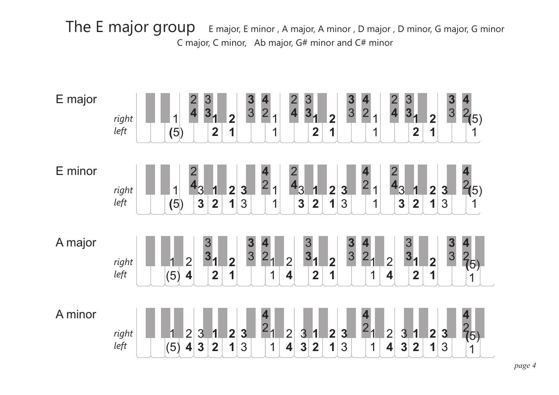The E major group E major, E minor, A major, A minor, D major, D minor, G major, G minor C major, C minor, Ab major, G# minor and C# minor

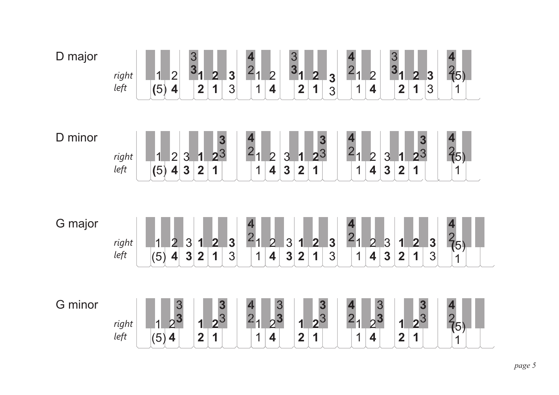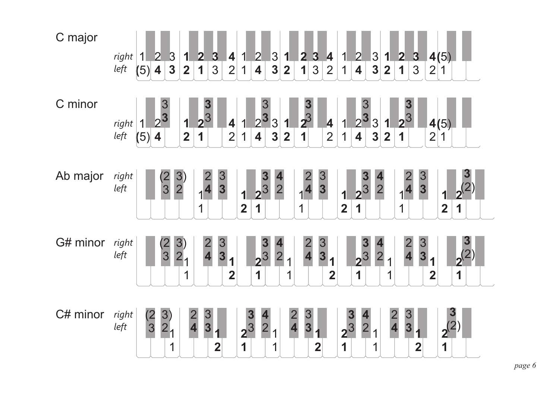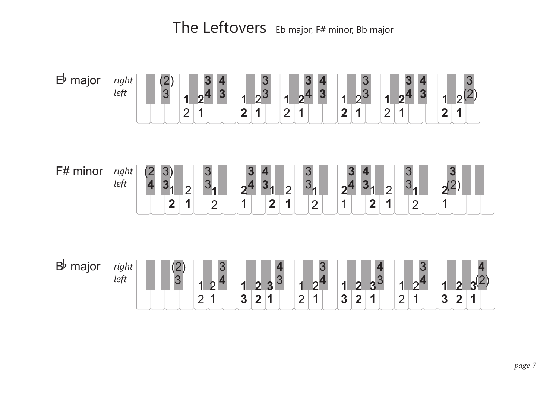The Leftovers Eb major, F# minor, Bb major